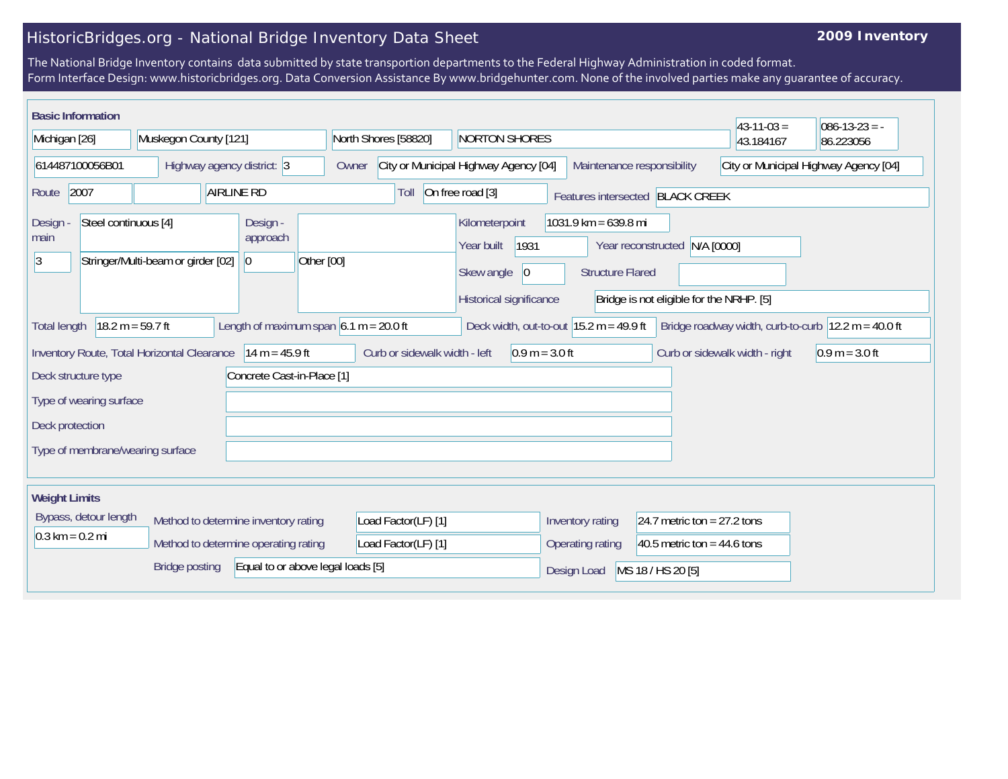## HistoricBridges.org - National Bridge Inventory Data Sheet

## **2009 Inventory**

The National Bridge Inventory contains data submitted by state transportion departments to the Federal Highway Administration in coded format. Form Interface Design: www.historicbridges.org. Data Conversion Assistance By www.bridgehunter.com. None of the involved parties make any guarantee of accuracy.

| <b>Basic Information</b>                                                                                                                                                                                                      |                       |                                  |                                                                                                                                                                                                                        |                                   |                                                                     |                               | $43-11-03=$                           | $086 - 13 - 23 = -$ |
|-------------------------------------------------------------------------------------------------------------------------------------------------------------------------------------------------------------------------------|-----------------------|----------------------------------|------------------------------------------------------------------------------------------------------------------------------------------------------------------------------------------------------------------------|-----------------------------------|---------------------------------------------------------------------|-------------------------------|---------------------------------------|---------------------|
| Michigan [26]                                                                                                                                                                                                                 |                       | Muskegon County [121]            |                                                                                                                                                                                                                        | North Shores [58820]              | <b>NORTON SHORES</b>                                                |                               | 43.184167                             | 86.223056           |
| 614487100056B01                                                                                                                                                                                                               |                       | Highway agency district: 3       |                                                                                                                                                                                                                        | Owner                             | City or Municipal Highway Agency [04]<br>Maintenance responsibility |                               | City or Municipal Highway Agency [04] |                     |
| <b>AIRLINE RD</b><br>2007<br>Route                                                                                                                                                                                            |                       | Toll                             | On free road [3]                                                                                                                                                                                                       | Features intersected BLACK CREEK  |                                                                     |                               |                                       |                     |
| Steel continuous [4]<br>Design -<br>Design<br>approach<br>main<br>Stringer/Multi-beam or girder [02]<br> 3<br>$ 0\rangle$                                                                                                     |                       | Other [00]                       | $1031.9$ km = 639.8 mi<br>Kilometerpoint<br>1931<br>Year reconstructed N/A [0000]<br>Year built<br>Skew angle<br> 0 <br><b>Structure Flared</b><br>Historical significance<br>Bridge is not eligible for the NRHP. [5] |                                   |                                                                     |                               |                                       |                     |
| $18.2 m = 59.7 ft$<br>Length of maximum span $6.1$ m = 20.0 ft<br>Deck width, out-to-out $15.2 \text{ m} = 49.9 \text{ ft}$<br>Bridge roadway width, curb-to-curb $ 12.2 \text{ m} = 40.0 \text{ ft} $<br><b>Total length</b> |                       |                                  |                                                                                                                                                                                                                        |                                   |                                                                     |                               |                                       |                     |
| Inventory Route, Total Horizontal Clearance<br>$14 m = 45.9 ft$<br>Curb or sidewalk width - left<br>$0.9 m = 3.0 ft$<br>Curb or sidewalk width - right<br>$0.9 m = 3.0 ft$                                                    |                       |                                  |                                                                                                                                                                                                                        |                                   |                                                                     |                               |                                       |                     |
| Concrete Cast-in-Place [1]<br>Deck structure type                                                                                                                                                                             |                       |                                  |                                                                                                                                                                                                                        |                                   |                                                                     |                               |                                       |                     |
| Type of wearing surface                                                                                                                                                                                                       |                       |                                  |                                                                                                                                                                                                                        |                                   |                                                                     |                               |                                       |                     |
| Deck protection                                                                                                                                                                                                               |                       |                                  |                                                                                                                                                                                                                        |                                   |                                                                     |                               |                                       |                     |
|                                                                                                                                                                                                                               |                       | Type of membrane/wearing surface |                                                                                                                                                                                                                        |                                   |                                                                     |                               |                                       |                     |
| <b>Weight Limits</b>                                                                                                                                                                                                          |                       |                                  |                                                                                                                                                                                                                        |                                   |                                                                     |                               |                                       |                     |
|                                                                                                                                                                                                                               | Bypass, detour length |                                  | Method to determine inventory rating                                                                                                                                                                                   | Load Factor(LF) [1]               | Inventory rating                                                    | 24.7 metric ton = $27.2$ tons |                                       |                     |
| $0.3 \text{ km} = 0.2 \text{ mi}$                                                                                                                                                                                             |                       |                                  | Method to determine operating rating                                                                                                                                                                                   | Load Factor(LF) [1]               | Operating rating                                                    | 40.5 metric ton = $44.6$ tons |                                       |                     |
|                                                                                                                                                                                                                               |                       | <b>Bridge posting</b>            |                                                                                                                                                                                                                        | Equal to or above legal loads [5] | Design Load                                                         | MS 18 / HS 20 [5]             |                                       |                     |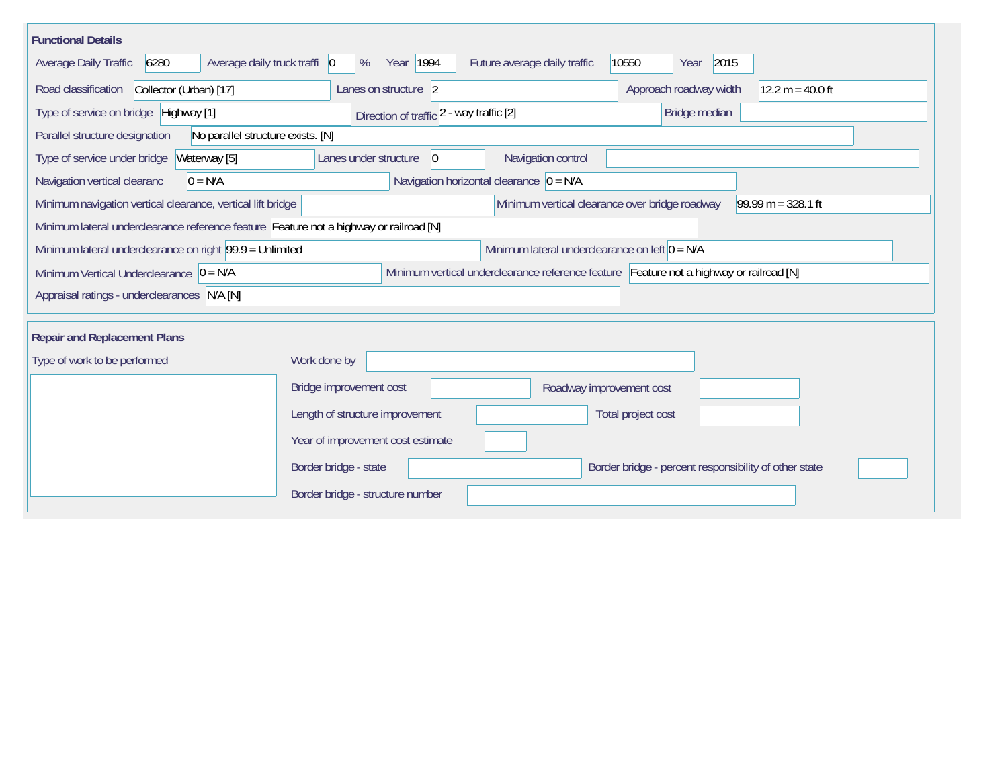| <b>Functional Details</b>                                                                                                             |                                                                                         |                                             |                                                       |                    |  |  |  |  |
|---------------------------------------------------------------------------------------------------------------------------------------|-----------------------------------------------------------------------------------------|---------------------------------------------|-------------------------------------------------------|--------------------|--|--|--|--|
| 6280<br>Average daily truck traffi 0<br>Average Daily Traffic                                                                         | Year   1994<br>%                                                                        | Future average daily traffic                | 2015<br>10550<br>Year                                 |                    |  |  |  |  |
| Road classification<br>Collector (Urban) [17]                                                                                         | Lanes on structure 2                                                                    |                                             | Approach roadway width                                | $12.2 m = 40.0 ft$ |  |  |  |  |
| Type of service on bridge Highway [1]                                                                                                 | Direction of traffic 2 - way traffic [2]                                                |                                             | Bridge median                                         |                    |  |  |  |  |
| No parallel structure exists. [N]<br>Parallel structure designation                                                                   |                                                                                         |                                             |                                                       |                    |  |  |  |  |
| Type of service under bridge<br>Waterway [5]                                                                                          | Lanes under structure<br>$ 0\rangle$                                                    | Navigation control                          |                                                       |                    |  |  |  |  |
| Navigation vertical clearanc<br>$0 = N/A$                                                                                             |                                                                                         | Navigation horizontal clearance $ 0 = N/A $ |                                                       |                    |  |  |  |  |
| Minimum navigation vertical clearance, vertical lift bridge<br>Minimum vertical clearance over bridge roadway<br>$99.99 m = 328.1 ft$ |                                                                                         |                                             |                                                       |                    |  |  |  |  |
| Minimum lateral underclearance reference feature Feature not a highway or railroad [N]                                                |                                                                                         |                                             |                                                       |                    |  |  |  |  |
| Minimum lateral underclearance on left $0 = N/A$<br>Minimum lateral underclearance on right 99.9 = Unlimited                          |                                                                                         |                                             |                                                       |                    |  |  |  |  |
| Minimum Vertical Underclearance $ 0 = N/A $                                                                                           | Minimum vertical underclearance reference feature Feature not a highway or railroad [N] |                                             |                                                       |                    |  |  |  |  |
| Appraisal ratings - underclearances N/A [N]                                                                                           |                                                                                         |                                             |                                                       |                    |  |  |  |  |
|                                                                                                                                       |                                                                                         |                                             |                                                       |                    |  |  |  |  |
| <b>Repair and Replacement Plans</b>                                                                                                   |                                                                                         |                                             |                                                       |                    |  |  |  |  |
| Type of work to be performed                                                                                                          | Work done by                                                                            |                                             |                                                       |                    |  |  |  |  |
|                                                                                                                                       | Bridge improvement cost                                                                 | Roadway improvement cost                    |                                                       |                    |  |  |  |  |
|                                                                                                                                       | Length of structure improvement                                                         |                                             | Total project cost                                    |                    |  |  |  |  |
|                                                                                                                                       | Year of improvement cost estimate                                                       |                                             |                                                       |                    |  |  |  |  |
|                                                                                                                                       | Border bridge - state                                                                   |                                             | Border bridge - percent responsibility of other state |                    |  |  |  |  |
|                                                                                                                                       | Border bridge - structure number                                                        |                                             |                                                       |                    |  |  |  |  |